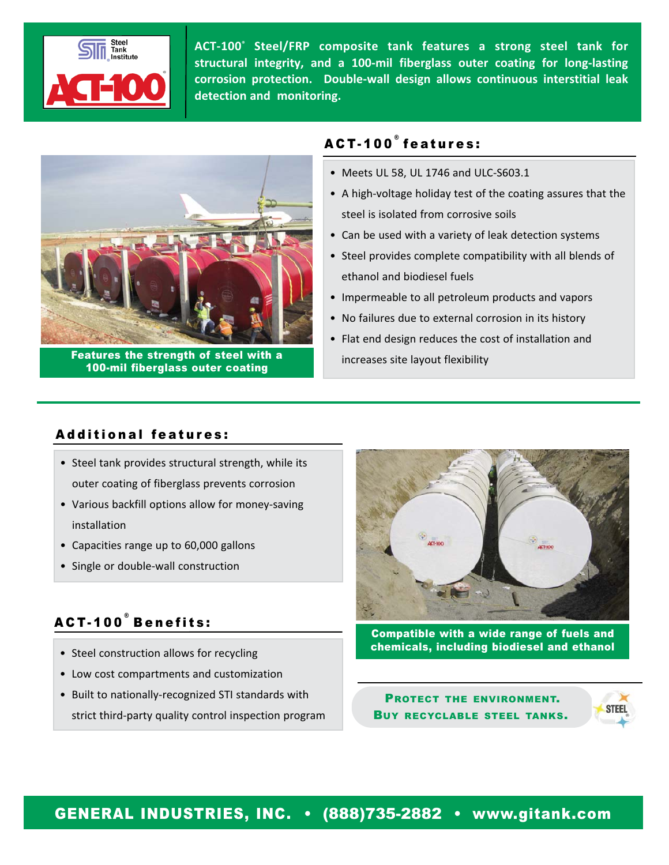

**ACT‐100® Steel/FRP composite tank features a strong steel tank for structural integrity, and a 100‐mil fiberglass outer coating for long‐lasting corrosion protection. Double‐wall design allows continuous interstitial leak detection and monitoring.**



Features the strength of steel with a 100-mil fiberglass outer coating

# ACT-100 ® features:

- Meets UL 58, UL 1746 and ULC‐S603.1
- A high‐voltage holiday test of the coating assures that the steel is isolated from corrosive soils
- Can be used with a variety of leak detection systems
- Steel provides complete compatibility with all blends of ethanol and biodiesel fuels
- Impermeable to all petroleum products and vapors
- No failures due to external corrosion in its history
- Flat end design reduces the cost of installation and increases site layout flexibility

## Additional features:

- Steel tank provides structural strength, while its outer coating of fiberglass prevents corrosion
- Various backfill options allow for money‐saving installation
- Capacities range up to 60,000 gallons
- Single or double‐wall construction

# ACT-100 ® Benefits:

- Steel construction allows for recycling
- Low cost compartments and customization
- Built to nationally‐recognized STI standards with strict third‐party quality control inspection program



Compatible with a wide range of fuels and chemicals, including biodiesel and ethanol

PROTECT THE ENVIRONMENT. BUY RECYCLABLE STEEL TANKS.